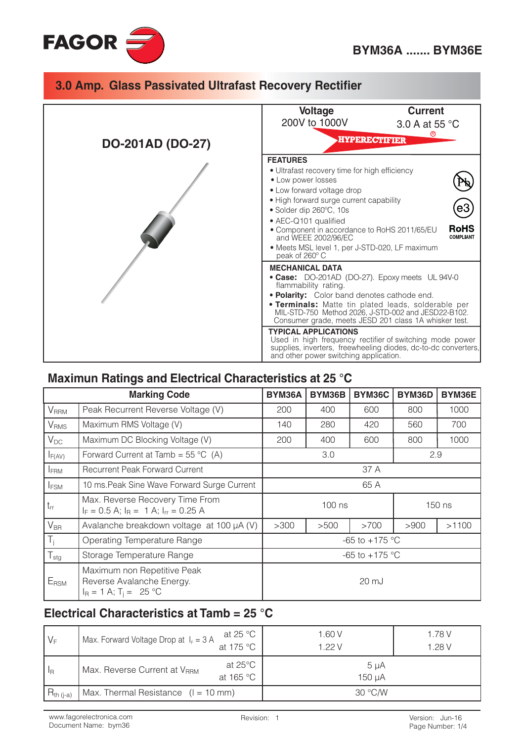



## Maximun Ratings and Electrical Characteristics at 25 °C

|                  | <b>Marking Code</b>                                                                  | BYM36A             | BYM36B | <b>BYM36C</b>      | BYM36D | BYM36E |
|------------------|--------------------------------------------------------------------------------------|--------------------|--------|--------------------|--------|--------|
| V <sub>RRM</sub> | Peak Recurrent Reverse Voltage (V)                                                   | 200                | 400    | 600                | 800    | 1000   |
| V <sub>RMS</sub> | Maximum RMS Voltage (V)                                                              | 140                | 280    | 420                | 560    | 700    |
| $V_{DC}$         | Maximum DC Blocking Voltage (V)                                                      | 200                | 400    | 600                | 800    | 1000   |
| $I_{F(AV)}$      | Forward Current at Tamb = $55^{\circ}$ C (A)                                         | 3.0<br>2.9         |        |                    |        |        |
| <b>IFRM</b>      | <b>Recurrent Peak Forward Current</b>                                                | 37 A               |        |                    |        |        |
| <b>I</b> FSM     | 10 ms. Peak Sine Wave Forward Surge Current                                          |                    |        | 65 A               |        |        |
| $t_{rr}$         | Max. Reverse Recovery Time From<br>$I_F = 0.5$ A; $I_R = 1$ A; $I_{rr} = 0.25$ A     | $100$ ns<br>150 ns |        |                    |        |        |
| $V_{BR}$         | Avalanche breakdown voltage at 100 µA (V)                                            | >300               | >500   | >700               | >900   | >1100  |
| $T_i$            | Operating Temperature Range                                                          |                    |        | $-65$ to $+175$ °C |        |        |
| $T_{\text{stg}}$ | Storage Temperature Range                                                            | $-65$ to $+175$ °C |        |                    |        |        |
| $E_{\text{RSM}}$ | Maximum non Repetitive Peak<br>Reverse Avalanche Energy.<br>$I_R = 1 A; T_1 = 25 °C$ | $20 \mathrm{mJ}$   |        |                    |        |        |

### Electrical Characteristics at Tamb = 25 °C

| $\mathsf{I} \mathsf{V}_\mathsf{F}$ | Max. Forward Voltage Drop at $I_F = 3$ A | at 25 $^{\circ}$ C             | 1.60 V<br>1.22V     | 1.78 V |
|------------------------------------|------------------------------------------|--------------------------------|---------------------|--------|
|                                    | at 175 °C ,                              |                                |                     | 1.28 V |
| I <sub>R</sub>                     | Max. Reverse Current at V <sub>RRM</sub> | at $25^{\circ}$ C<br>at 165 °C | $5 \mu A$<br>150 µA |        |
| $R_{th (i-a)}$                     | $Max$ . Thermal Resistance $(I = 10$ mm) |                                | 30 °C/W             |        |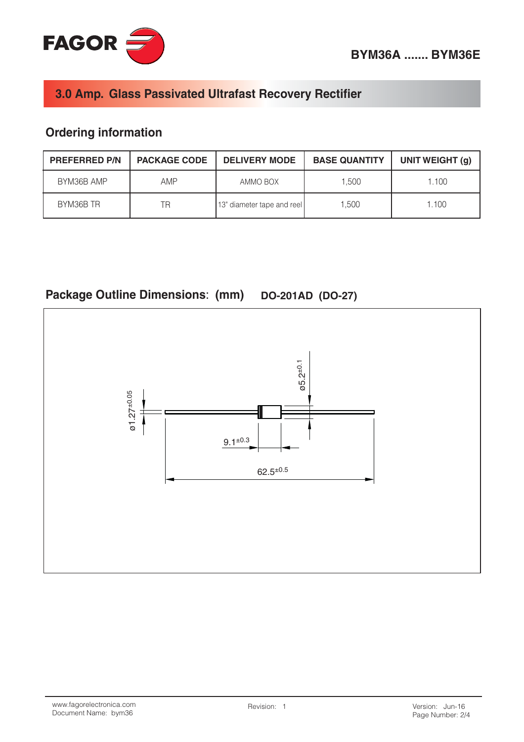

# **Ordering information**

| <b>PREFERRED P/N</b> | <b>PACKAGE CODE</b> | <b>DELIVERY MODE</b>       | <b>BASE QUANTITY</b> | UNIT WEIGHT (g) |
|----------------------|---------------------|----------------------------|----------------------|-----------------|
| BYM36B AMP           | AMP                 | AMMO BOX                   | 1.500                | 1.100           |
| BYM36B TR            | ΤR                  | 13" diameter tape and reel | 1.500                | 1.100           |

# Package Outline Dimensions: (mm) DO-201AD (DO-27)

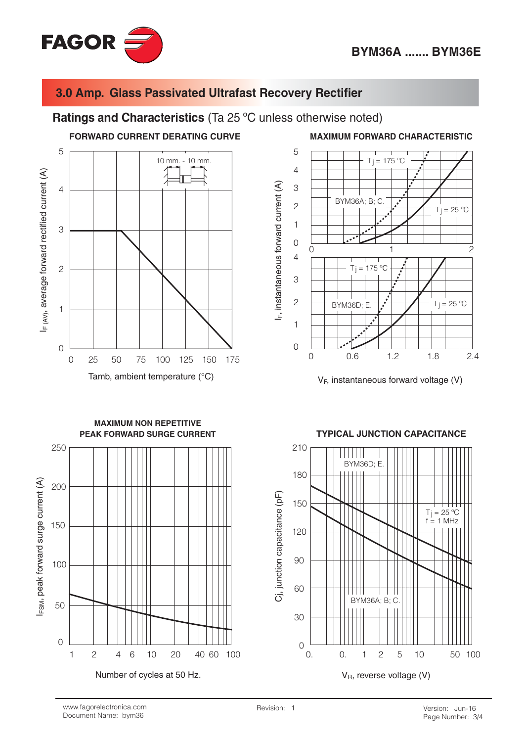

#### Ratings and Characteristics (Ta 25 °C unless otherwise noted)



Tamb, ambient temperature (°C)

5  $T_i = 175 °C$  $\overline{4}$  $F$ , instantaneous forward current (A) 3 **BYM36A; B; C**  $\overline{c}$  $Ti = 25 °C$  $\mathbf{1}$  $\overline{O}$  $\Omega$  $\overline{c}$  $\overline{4}$  $= 175 °C$ Τj 3  $\overline{c}$  $Tj = 25^{\circ}$ C **BYM36D: E.**  $\mathbf{1}$  $\overline{O}$  $1.2$  $\overline{O}$  $0.6$ 1.8  $2.4$ 

**MAXIMUM FORWARD CHARACTERISTIC** 

 $V_F$ , instantaneous forward voltage (V)



#### **TYPICAL JUNCTION CAPACITANCE**